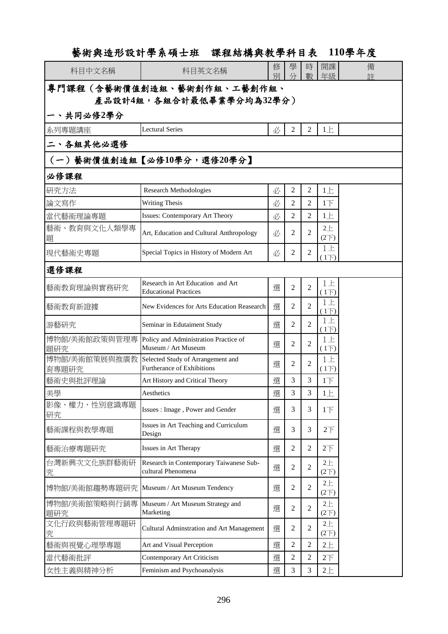# 藝術與造形設計學系碩士班 課程結構與教學科目表 **110**學年度

| 科目中文名稱                     | 科目英文名稱                                                                 | 修<br>別 | 學<br>分         | 時<br>數         | 開課<br>年級                     | 備<br>弉 |  |  |
|----------------------------|------------------------------------------------------------------------|--------|----------------|----------------|------------------------------|--------|--|--|
| 專門課程(含藝術價值創造組、藝術創作組、工藝創作組、 |                                                                        |        |                |                |                              |        |  |  |
| 產品設計4組,各組合計最低畢業學分均為32學分)   |                                                                        |        |                |                |                              |        |  |  |
| 一、共同必修2學分                  |                                                                        |        |                |                |                              |        |  |  |
| 系列專題講座                     | <b>Lectural Series</b>                                                 | 必      | $\mathfrak{2}$ | 2              | 1E                           |        |  |  |
| 二、各組其他必選修                  |                                                                        |        |                |                |                              |        |  |  |
| (一)藝術價值創造組【必修10學分,選修20學分】  |                                                                        |        |                |                |                              |        |  |  |
| 必修課程                       |                                                                        |        |                |                |                              |        |  |  |
| 研究方法                       | <b>Research Methodologies</b>                                          | 必      | $\overline{2}$ | 2              | 1E                           |        |  |  |
| 論文寫作                       | <b>Writing Thesis</b>                                                  | 必      | 2              | 2              | $1\overline{F}$              |        |  |  |
| 當代藝術理論專題                   | <b>Issues: Contemporary Art Theory</b>                                 | 必      | 2              | 2              | 1E                           |        |  |  |
| 藝術、教育與文化人類學專<br>題          | Art, Education and Cultural Anthropology                               | 必      | $\overline{c}$ | 2              | $2 +$<br>(2 <sup>2</sup> )   |        |  |  |
| 現代藝術史專題                    | Special Topics in History of Modern Art                                | 必      | 2              | 2              | $1 \pm$<br>$1\overline{F}$ ) |        |  |  |
| 選修課程                       |                                                                        |        |                |                |                              |        |  |  |
| 藝術教育理論與實務研究                | Research in Art Education and Art<br><b>Educational Practices</b>      | 選      | $\overline{2}$ | $\overline{c}$ | $1+$<br>$(1+)$               |        |  |  |
| 藝術教育新證據                    | New Evidences for Arts Education Reasearch                             | 選      | 2              | 2              | $1+$<br>(1)                  |        |  |  |
| 游藝研究                       | Seminar in Edutaiment Study                                            | 選      | 2              | 2              | $1+$<br>$(1+)$               |        |  |  |
| 博物館/美術館政策與管理專<br>題研究       | Policy and Administration Practice of<br>Museum / Art Museum           | 選      | $\overline{2}$ | $\mathfrak{D}$ | $1+$<br>$(1\overline{)}$     |        |  |  |
| 博物館/美術館策展與推廣教<br>育專題研究     | Selected Study of Arrangement and<br><b>Furtherance of Exhibitions</b> | 選      | $\overline{c}$ | $\overline{c}$ | $1+$<br>(1)                  |        |  |  |
| 藝術史與批評理論                   | Art History and Critical Theory                                        | 選      | 3              | 3              | $1+$                         |        |  |  |
| 美學                         | Aesthetics                                                             | 選      | 3              | 3              | 1 <sub>1</sub>               |        |  |  |
| 影像、權力、性別意識專題<br>研究         | Issues: Image, Power and Gender                                        | 選      | 3              | 3              | $1+$                         |        |  |  |
| 藝術課程與教學專題                  | Issues in Art Teaching and Curriculum<br>Design                        | 選      | 3              | 3              | 2 <sup>T</sup>               |        |  |  |
| 藝術治療專題研究                   | Issues in Art Therapy                                                  | 選      | $\overline{2}$ | 2              | 2 <sup>T</sup>               |        |  |  |
| 台灣新興次文化族群藝術研<br>究          | Research in Contemporary Taiwanese Sub-<br>cultural Phenomena          | 選      | $\overline{c}$ | 2              | $2+$<br>(2 <sup>2</sup> )    |        |  |  |
| 博物館/美術館趨勢專題研究              | Museum / Art Museum Tendency                                           | 選      | $\overline{c}$ | 2              | $2+$<br>(2 <sup>2</sup> )    |        |  |  |
| 博物館/美術館策略與行銷專<br>題研究       | Museum / Art Museum Strategy and<br>Marketing                          | 選      | $\overline{c}$ | $\overline{2}$ | $2 +$<br>(2 <sup>2</sup> )   |        |  |  |
| 文化行政與藝術管理專題研<br>究          | Cultural Adminstration and Art Management                              | 選      | 2              | 2              | $2 +$<br>(2 <sup>2</sup> )   |        |  |  |
| 藝術與視覺心理學專題                 | Art and Visual Perception                                              | 選      | $\overline{c}$ | 2              | $2 +$                        |        |  |  |
| 當代藝術批評                     | Contemporary Art Criticism                                             | 選      | 2              | 2              | 2 <sup>T</sup>               |        |  |  |
| 女性主義與精神分析                  | Feminism and Psychoanalysis                                            | 選      | 3              | 3              | 2E                           |        |  |  |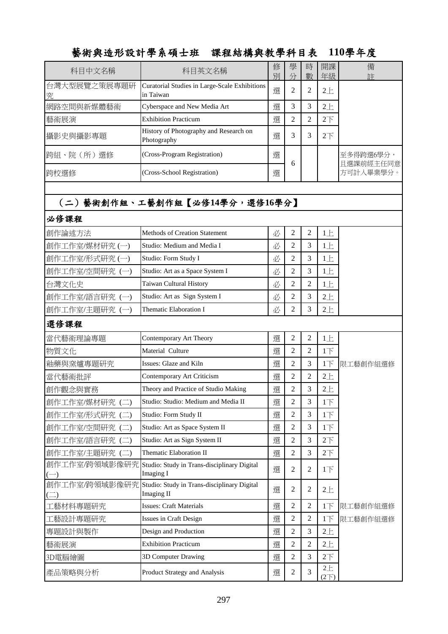### 藝術與造形設計學系碩士班 課程結構與教學科目表 **110**學年度

| 科目中文名稱            | 科目英文名稱                                                     | 修<br>別 | 學<br>分 | 時<br>數 | 開課<br>年級       | 備<br>註                 |
|-------------------|------------------------------------------------------------|--------|--------|--------|----------------|------------------------|
| 台灣大型展覽之策展專題研<br>究 | Curatorial Studies in Large-Scale Exhibitions<br>in Taiwan | 選      | ↑<br>∠ |        | $2+$           |                        |
| 網路空間與新媒體藝術        | Cyberspace and New Media Art                               | 選      | 3      |        | $2+$           |                        |
| 藝術展演              | <b>Exhibition Practicum</b>                                | 選      | 2      |        | 2 <sup>T</sup> |                        |
| 攝影史與攝影專題          | History of Photography and Research on<br>Photography      | 選      | 3      |        | $2\top$        |                        |
| 跨組、院(所)選修         | (Cross-Program Registration)                               | 選      | 6      |        |                | 至多得跨選6學分,<br>且選課前經主任同意 |
| 跨校選修              | (Cross-School Registration)                                | 選      |        |        |                | 方可計入畢業學分。              |

## (二)藝術創作組、工藝創作組【必修**14**學分,選修**16**學分】

#### 必修課程

| 創作論述方法                       | Methods of Creation Statement                                   | 必 | $\overline{2}$ | $\overline{2}$ | 1E                  |          |
|------------------------------|-----------------------------------------------------------------|---|----------------|----------------|---------------------|----------|
| 創作工作室/媒材研究(一)                | Studio: Medium and Media I                                      | 必 | $\overline{2}$ | $\overline{3}$ | 1E                  |          |
| 創作工作室/形式研究(一)                | Studio: Form Study I                                            | 必 | $\overline{2}$ | 3              | 1E                  |          |
| 創作工作室/空間研究 (一)               | Studio: Art as a Space System I                                 | 必 | $\overline{2}$ | $\overline{3}$ | $1 \pm$             |          |
| 台灣文化史                        | Taiwan Cultural History                                         | 必 | $\overline{2}$ | $\overline{2}$ | 1E                  |          |
| 創作工作室/語言研究 (一)               | Studio: Art as Sign System I                                    | 必 | $\overline{2}$ | 3              | 2E                  |          |
| 創作工作室/主題研究 (一)               | <b>Thematic Elaboration I</b>                                   | 必 | $\overline{2}$ | 3              | 2E                  |          |
| 選修課程                         |                                                                 |   |                |                |                     |          |
| 當代藝術理論專題                     | Contemporary Art Theory                                         | 選 | $\overline{2}$ | $\overline{2}$ | 1E                  |          |
| 物質文化                         | Material Culture                                                | 選 | $\overline{2}$ | $\overline{2}$ | $1+$                |          |
| 釉藥與窯爐專題研究                    | Issues: Glaze and Kiln                                          | 選 | $\overline{2}$ | $\overline{3}$ | $1+$                | 限工藝創作組選修 |
| 當代藝術批評                       | Contemporary Art Criticism                                      | 選 | $\overline{2}$ | $\overline{2}$ | 2E                  |          |
| 創作觀念與實務                      | Theory and Practice of Studio Making                            | 選 | $\overline{2}$ | 3              | 2E                  |          |
| 創作工作室/媒材研究(二)                | Studio: Studio: Medium and Media II                             | 選 | $\overline{2}$ | 3              | $1+$                |          |
| 創作工作室/形式研究 (二)               | Studio: Form Study II                                           | 選 | $\overline{2}$ | $\overline{3}$ | $1+$                |          |
| 創作工作室/空間研究 (二)               | Studio: Art as Space System II                                  | 選 | $\overline{2}$ | 3              | 1 <sub>T</sub>      |          |
| 創作工作室/語言研究(二)                | Studio: Art as Sign System II                                   | 選 | $\overline{2}$ | 3              | 2 <sup>7</sup>      |          |
| 創作工作室/主題研究 (二)               | Thematic Elaboration II                                         | 選 | $\overline{2}$ | $\overline{3}$ | 2 <sup>7</sup>      |          |
| 創作工作室/跨領域影像研究                | Studio: Study in Trans-disciplinary Digital<br><b>Imaging I</b> | 選 | $\overline{2}$ | $\overline{2}$ | $1+$                |          |
| 創作工作室/跨領域影像研究<br>$(\square)$ | Studio: Study in Trans-disciplinary Digital<br>Imaging II       | 選 | $\overline{2}$ | $\overline{2}$ | 2E                  |          |
| 工藝材料專題研究                     | <b>Issues: Craft Materials</b>                                  | 選 | $\overline{2}$ | $\overline{2}$ | 1 <sub>T</sub>      | 限工藝創作組選修 |
| 工藝設計專題研究                     | Issues in Craft Design                                          | 選 | $\overline{2}$ | $\overline{2}$ | $1+$                | 限工藝創作組選修 |
| 專題設計與製作                      | Design and Production                                           | 選 | $\overline{2}$ | 3              | $2+$                |          |
| 藝術展演                         | <b>Exhibition Practicum</b>                                     | 選 | $\overline{2}$ | $\overline{2}$ | $2+$                |          |
| 3D電腦繪圖                       | 3D Computer Drawing                                             | 選 | $\overline{2}$ | 3              | 2 <sup>7</sup>      |          |
| 產品策略與分析                      | Product Strategy and Analysis                                   | 選 | $\overline{2}$ | 3              | $2+$<br>$(2\nabla)$ |          |